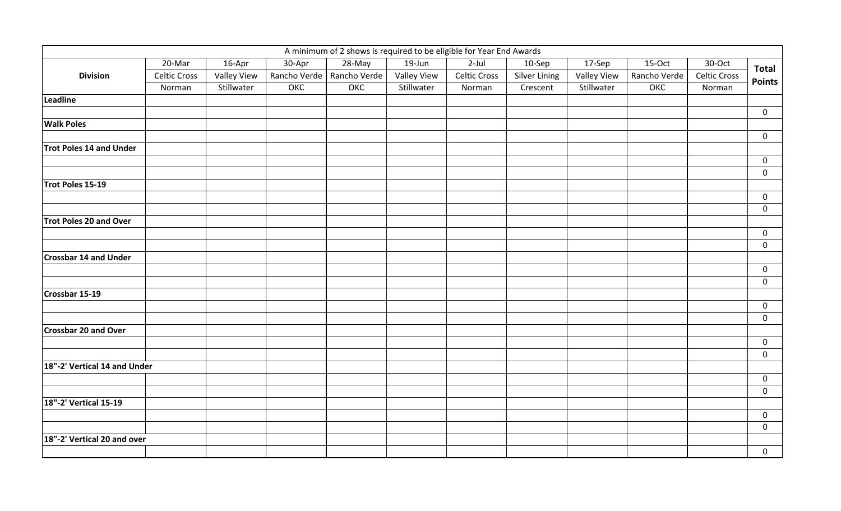|                              |                               |                                  |        | A minimum of 2 shows is required to be eligible for Year End Awards |                                  |                               |                                  |                                  |                     |                               |                                    |
|------------------------------|-------------------------------|----------------------------------|--------|---------------------------------------------------------------------|----------------------------------|-------------------------------|----------------------------------|----------------------------------|---------------------|-------------------------------|------------------------------------|
|                              | 20-Mar                        | 16-Apr                           | 30-Apr | 28-May                                                              | $19$ -Jun                        | $2$ -Jul                      | 10-Sep                           | 17-Sep                           | 15-Oct              | 30-Oct                        | <b>Total</b>                       |
| <b>Division</b>              | <b>Celtic Cross</b><br>Norman | <b>Valley View</b><br>Stillwater | ОКС    | Rancho Verde   Rancho Verde<br>ОКС                                  | <b>Valley View</b><br>Stillwater | <b>Celtic Cross</b><br>Norman | <b>Silver Lining</b><br>Crescent | <b>Valley View</b><br>Stillwater | Rancho Verde<br>ОКС | <b>Celtic Cross</b><br>Norman | <b>Points</b>                      |
|                              |                               |                                  |        |                                                                     |                                  |                               |                                  |                                  |                     |                               |                                    |
|                              |                               |                                  |        |                                                                     |                                  |                               |                                  |                                  |                     |                               | $\mathbf 0$                        |
| <b>Walk Poles</b>            |                               |                                  |        |                                                                     |                                  |                               |                                  |                                  |                     |                               |                                    |
|                              |                               |                                  |        |                                                                     |                                  |                               |                                  |                                  |                     |                               | $\mathbf 0$                        |
| Trot Poles 14 and Under      |                               |                                  |        |                                                                     |                                  |                               |                                  |                                  |                     |                               |                                    |
|                              |                               |                                  |        |                                                                     |                                  |                               |                                  |                                  |                     |                               | $\mathbf 0$                        |
|                              |                               |                                  |        |                                                                     |                                  |                               |                                  |                                  |                     |                               | $\mathbf 0$                        |
| Trot Poles 15-19             |                               |                                  |        |                                                                     |                                  |                               |                                  |                                  |                     |                               |                                    |
|                              |                               |                                  |        |                                                                     |                                  |                               |                                  |                                  |                     |                               | $\mathbf 0$<br>$\mathsf{O}\xspace$ |
| Trot Poles 20 and Over       |                               |                                  |        |                                                                     |                                  |                               |                                  |                                  |                     |                               |                                    |
|                              |                               |                                  |        |                                                                     |                                  |                               |                                  |                                  |                     |                               | $\mathsf{O}\xspace$                |
|                              |                               |                                  |        |                                                                     |                                  |                               |                                  |                                  |                     |                               | $\mathbf 0$                        |
| <b>Crossbar 14 and Under</b> |                               |                                  |        |                                                                     |                                  |                               |                                  |                                  |                     |                               |                                    |
|                              |                               |                                  |        |                                                                     |                                  |                               |                                  |                                  |                     |                               | $\mathbf 0$                        |
|                              |                               |                                  |        |                                                                     |                                  |                               |                                  |                                  |                     |                               | $\mathbf 0$                        |
| Crossbar 15-19               |                               |                                  |        |                                                                     |                                  |                               |                                  |                                  |                     |                               |                                    |
|                              |                               |                                  |        |                                                                     |                                  |                               |                                  |                                  |                     |                               | $\mathbf 0$                        |
|                              |                               |                                  |        |                                                                     |                                  |                               |                                  |                                  |                     |                               | $\mathbf 0$                        |
| <b>Crossbar 20 and Over</b>  |                               |                                  |        |                                                                     |                                  |                               |                                  |                                  |                     |                               |                                    |
|                              |                               |                                  |        |                                                                     |                                  |                               |                                  |                                  |                     |                               | $\mathsf{O}\xspace$                |
|                              |                               |                                  |        |                                                                     |                                  |                               |                                  |                                  |                     |                               | $\mathsf{O}\xspace$                |
| 18"-2' Vertical 14 and Under |                               |                                  |        |                                                                     |                                  |                               |                                  |                                  |                     |                               |                                    |
|                              |                               |                                  |        |                                                                     |                                  |                               |                                  |                                  |                     |                               | $\mathsf{O}\xspace$                |
|                              |                               |                                  |        |                                                                     |                                  |                               |                                  |                                  |                     |                               | $\mathsf{O}\xspace$                |
| 18"-2' Vertical 15-19        |                               |                                  |        |                                                                     |                                  |                               |                                  |                                  |                     |                               |                                    |
|                              |                               |                                  |        |                                                                     |                                  |                               |                                  |                                  |                     |                               | $\mathbf 0$                        |
|                              |                               |                                  |        |                                                                     |                                  |                               |                                  |                                  |                     |                               | $\mathbf 0$                        |
| 18"-2' Vertical 20 and over  |                               |                                  |        |                                                                     |                                  |                               |                                  |                                  |                     |                               |                                    |
|                              |                               |                                  |        |                                                                     |                                  |                               |                                  |                                  |                     |                               | $\mathbf 0$                        |